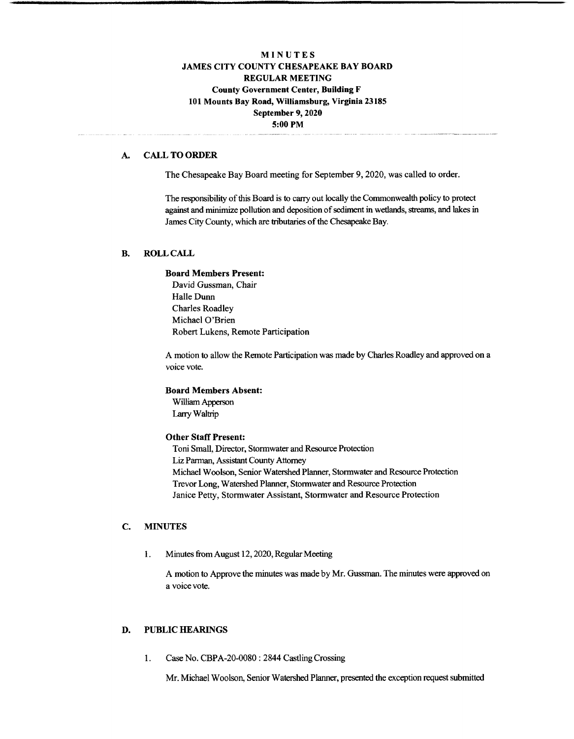# **MINUTES JAMES CITY COUNTY CHESAPEAKE BAY BOARD REGULAR MEETING County Government Center, Building F 101 Mounts Bay Road, Williamsburg, Virginia 23185 September 9,2020 5:00 PM**

#### **A. CALL TO ORDER**

The Chesapeake Bay Board meeting for September 9,2020, was called to order.

The responsibility of this Board is to carry out locally the Commonwealth policy to protect against and minimize pollution and deposition of sediment in wetlands, streams, and lakes in James City County, which are tributaries of the Chesapeake Bay.

## **B. ROLL CALL**

#### **Board Members Present:**

David Gussman, Chair Halle Dunn Charles Roadley Michael O'Brien Robert Lukens, Remote Participation

A motion to allow the Remote Participation was made by Charles Roadley and approved on a voice vote.

# **Board Members Absent:**

William Apperson LarryWaltrip

#### **Other Staff Present:**

Toni Small, Director, Stormwater and Resource Protection Liz Parman, Assistant County Attorney Michael Woolson, Senior Watershed Planner, Stormwater and Resource Protection Trevor Long, Watershed Planner, Stormwater and Resource Protection Janice Petty, Stormwater Assistant, Stormwater and Resource Protection

## C. **MINUTES**

1. Minutes from August 12, 2020, Regular Meeting

A motion to Approve the minutes was made by Mr. Gussman. The minutes were approved on a voice vote.

## **D. PUBLIC HEARINGS**

1. Case No. CBPA-20-0080 : 2844 CastlingCrossing

Mr. Michael Woolson, Senior Watershed Planner, presented the exception request submitted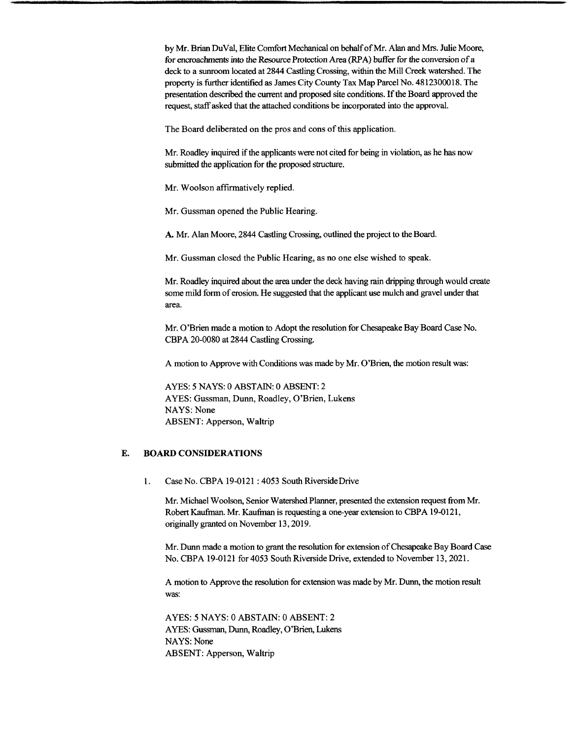by Mr. Brian DuVal, Elite Comfort Mechanical on behalf of Mr. Alan and Mrs. Julie Moore, for encroachments into the Resource Protection Area (RPA) buffer for the conversion of a deck to a sunroom located at 2844 Castling Crossing, within the Mill Creek watershed. The property is further identified as James City County Tax Map Parcel No. 4812300018. The presentation described the current and proposed site conditions. If the Board approved the request, staff asked that the attached conditions be incorporated into the approval.

The Board deliberated on the pros and cons of this application.

Mr. Roadley inquired if the applicants were not cited for being in violation, as he has now submitted the application for the proposed structure.

Mr. Woolson affirmatively replied.

Mr. Gussman opened the Public Hearing.

A. Mr. Alan Moore, 2844 Castling Crossing, outlined the project to the Board.

Mr. Gussman closed the Public Hearing, as no one else wished to speak.

Mr. Roadley inquired about the area under the deck having rain dripping through would create some mild form of erosion. He suggested that the applicant use mulch and gravel under that area.

Mr. O'Brien made a motion to Adopt the resolution for Chesapeake Bay Board Case No. CBPA 20-0080 at 2844 Castling Crossing.

A motion to Approve with Conditions was made by Mr. O'Brien, the motion result was:

AYES: 5 NAYS: 0 ABSTAIN: 0 ABSENT: 2 AYES: Gussman, Dunn, Roadley, O'Brien, Lukens NAYS: None ABSENT: Apperson, Waltrip

#### E. **BOARD CONSIDERATIONS**

1. Case No. CBPA 19-0121 : 4053 South RiversideDrive

Mr. Michael Woolson, Senior Watershed Planner, presented the extension request from Mr. RobertKaufman. Mr. Kaufman is requesting a one-year extension to CBPA 19-0121, originally granted on November 13,2019.

Mr. Dunn made a motion to grant the resolution for extension of Chesapeake Bay Board Case No. CBPA 19-0121 for 4053 South Riverside Drive, extended to November 13,2021.

A motion to Approve the resolution for extension was made by Mr. Dunn, the motion result was:

AYES: 5 NAYS: 0 ABSTAIN: 0 ABSENT: 2 AYES: Gussman, Dunn, Roadley, O'Brien, Lukens NAYS: None ABSENT: Apperson, Waltrip